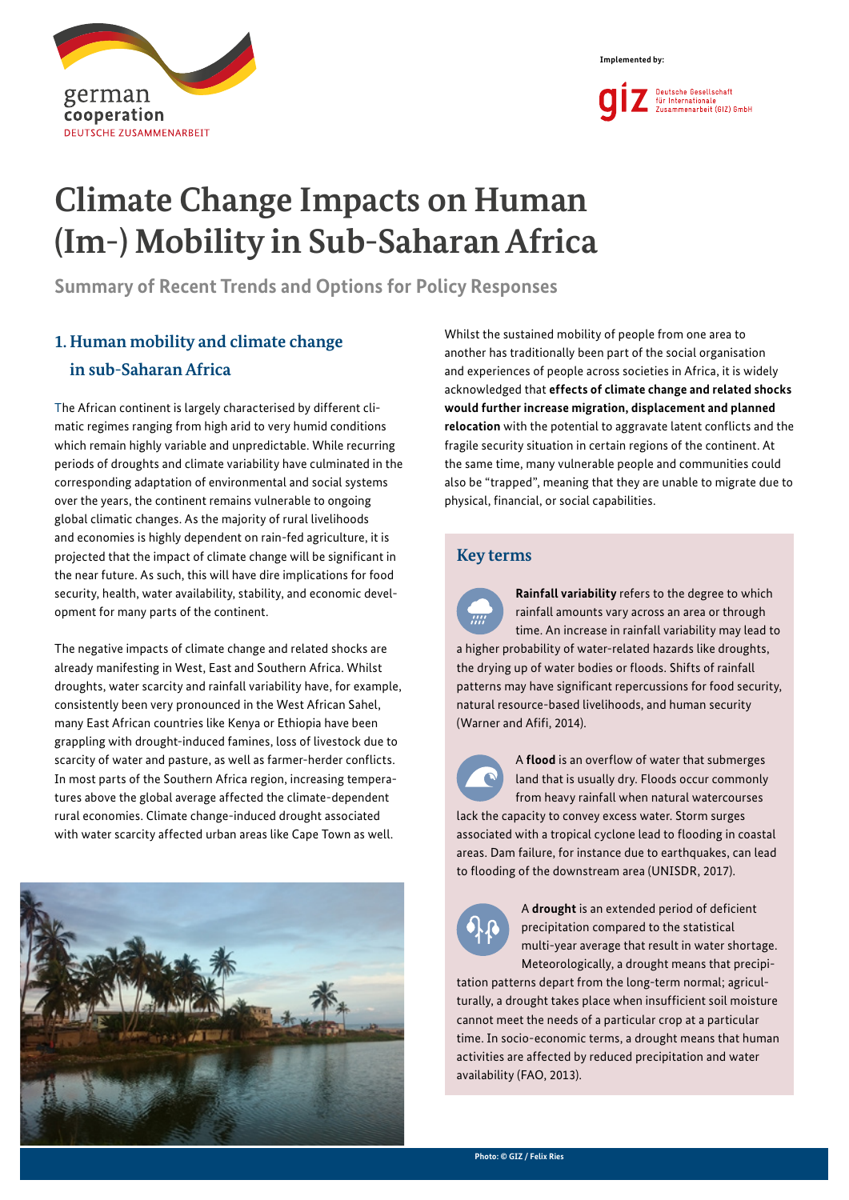



# **Climate Change Impacts on Human (Im-) Mobility in Sub-Saharan Africa**

**Summary of Recent Trends and Options for Policy Responses**

# **1. Human mobility and climate change in sub-Saharan Africa**

The African continent is largely characterised by different climatic regimes ranging from high arid to very humid conditions which remain highly variable and unpredictable. While recurring periods of droughts and climate variability have culminated in the corresponding adaptation of environmental and social systems over the years, the continent remains vulnerable to ongoing global climatic changes. As the majority of rural livelihoods and economies is highly dependent on rain-fed agriculture, it is projected that the impact of climate change will be significant in the near future. As such, this will have dire implications for food security, health, water availability, stability, and economic development for many parts of the continent.

The negative impacts of climate change and related shocks are already manifesting in West, East and Southern Africa. Whilst droughts, water scarcity and rainfall variability have, for example, consistently been very pronounced in the West African Sahel, many East African countries like Kenya or Ethiopia have been grappling with drought-induced famines, loss of livestock due to scarcity of water and pasture, as well as farmer-herder conflicts. In most parts of the Southern Africa region, increasing temperatures above the global average affected the climate-dependent rural economies. Climate change-induced drought associated with water scarcity affected urban areas like Cape Town as well.



Whilst the sustained mobility of people from one area to another has traditionally been part of the social organisation and experiences of people across societies in Africa, it is widely acknowledged that **effects of climate change and related shocks would further increase migration, displacement and planned relocation** with the potential to aggravate latent conflicts and the fragile security situation in certain regions of the continent. At the same time, many vulnerable people and communities could also be "trapped", meaning that they are unable to migrate due to physical, financial, or social capabilities.

#### **Key terms**

**Rainfall variability** refers to the degree to which rainfall amounts vary across an area or through time. An increase in rainfall variability may lead to a higher probability of water-related hazards like droughts, the drying up of water bodies or floods. Shifts of rainfall patterns may have significant repercussions for food security, natural resource-based livelihoods, and human security (Warner and Afifi, 2014).



A **flood** is an overflow of water that submerges land that is usually dry. Floods occur commonly from heavy rainfall when natural watercourses

lack the capacity to convey excess water. Storm surges associated with a tropical cyclone lead to flooding in coastal areas. Dam failure, for instance due to earthquakes, can lead to flooding of the downstream area (UNISDR, 2017).



A **drought** is an extended period of deficient precipitation compared to the statistical multi-year average that result in water shortage. Meteorologically, a drought means that precipi-

tation patterns depart from the long-term normal; agriculturally, a drought takes place when insufficient soil moisture cannot meet the needs of a particular crop at a particular time. In socio-economic terms, a drought means that human activities are affected by reduced precipitation and water availability (FAO, 2013).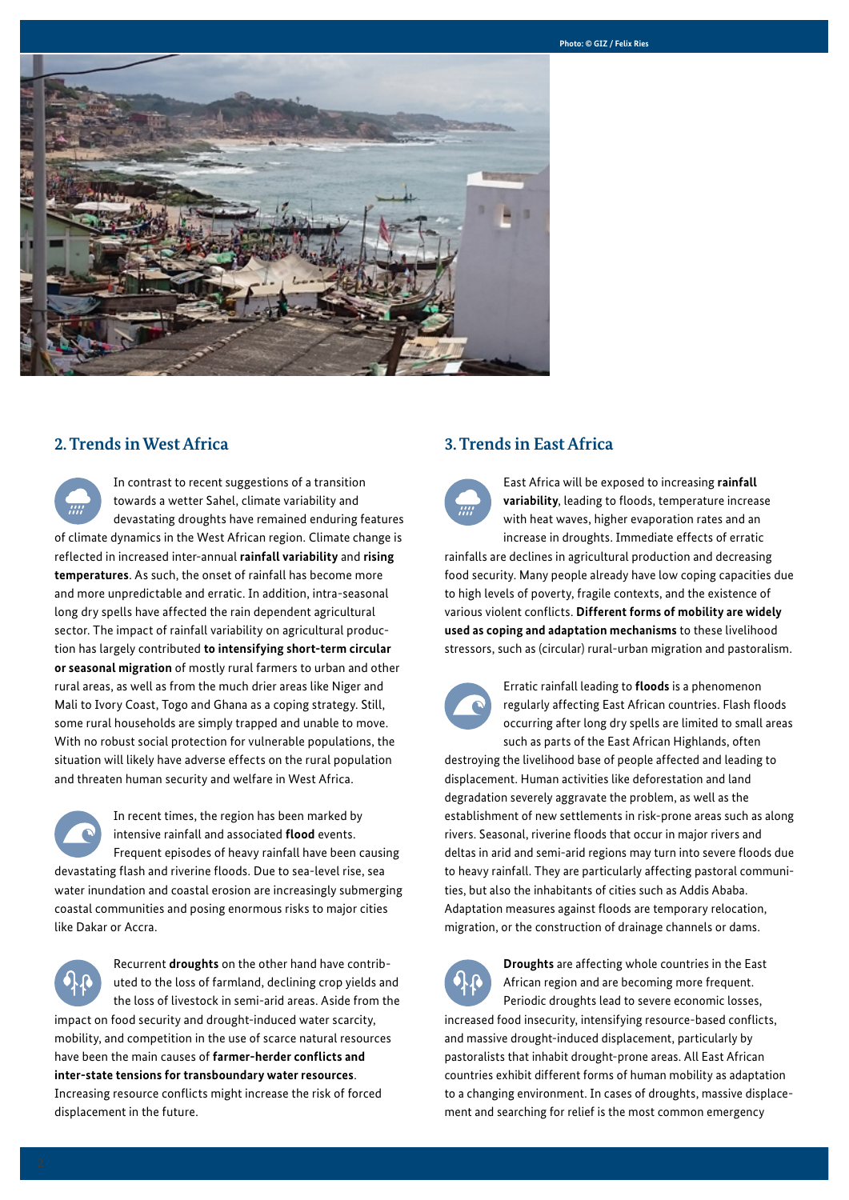

#### **2. Trends in West Africa**

In contrast to recent suggestions of a transition towards a wetter Sahel, climate variability and devastating droughts have remained enduring features of climate dynamics in the West African region. Climate change is reflected in increased inter-annual **rainfall variability** and **rising temperatures**. As such, the onset of rainfall has become more and more unpredictable and erratic. In addition, intra-seasonal long dry spells have affected the rain dependent agricultural sector. The impact of rainfall variability on agricultural production has largely contributed **to intensifying short-term circular or seasonal migration** of mostly rural farmers to urban and other rural areas, as well as from the much drier areas like Niger and Mali to Ivory Coast, Togo and Ghana as a coping strategy. Still, some rural households are simply trapped and unable to move. With no robust social protection for vulnerable populations, the situation will likely have adverse effects on the rural population and threaten human security and welfare in West Africa.

In recent times, the region has been marked by intensive rainfall and associated **flood** events. Frequent episodes of heavy rainfall have been causing devastating flash and riverine floods. Due to sea-level rise, sea water inundation and coastal erosion are increasingly submerging coastal communities and posing enormous risks to major cities like Dakar or Accra.

Recurrent **droughts** on the other hand have contributed to the loss of farmland, declining crop yields and the loss of livestock in semi-arid areas. Aside from the impact on food security and drought-induced water scarcity, mobility, and competition in the use of scarce natural resources have been the main causes of **farmer-herder conflicts and inter-state tensions for transboundary water resources**. Increasing resource conflicts might increase the risk of forced displacement in the future.

#### **3. Trends in East Africa**

East Africa will be exposed to increasing **rainfall variability**, leading to floods, temperature increase with heat waves, higher evaporation rates and an increase in droughts. Immediate effects of erratic rainfalls are declines in agricultural production and decreasing food security. Many people already have low coping capacities due to high levels of poverty, fragile contexts, and the existence of various violent conflicts. **Different forms of mobility are widely used as coping and adaptation mechanisms** to these livelihood stressors, such as (circular) rural-urban migration and pastoralism.



Erratic rainfall leading to **floods** is a phenomenon regularly affecting East African countries. Flash floods occurring after long dry spells are limited to small areas such as parts of the East African Highlands, often

destroying the livelihood base of people affected and leading to displacement. Human activities like deforestation and land degradation severely aggravate the problem, as well as the establishment of new settlements in risk-prone areas such as along rivers. Seasonal, riverine floods that occur in major rivers and deltas in arid and semi-arid regions may turn into severe floods due to heavy rainfall. They are particularly affecting pastoral communities, but also the inhabitants of cities such as Addis Ababa. Adaptation measures against floods are temporary relocation, migration, or the construction of drainage channels or dams.



**Droughts** are affecting whole countries in the East African region and are becoming more frequent. Periodic droughts lead to severe economic losses, increased food insecurity, intensifying resource-based conflicts, and massive drought-induced displacement, particularly by pastoralists that inhabit drought-prone areas. All East African countries exhibit different forms of human mobility as adaptation

to a changing environment. In cases of droughts, massive displacement and searching for relief is the most common emergency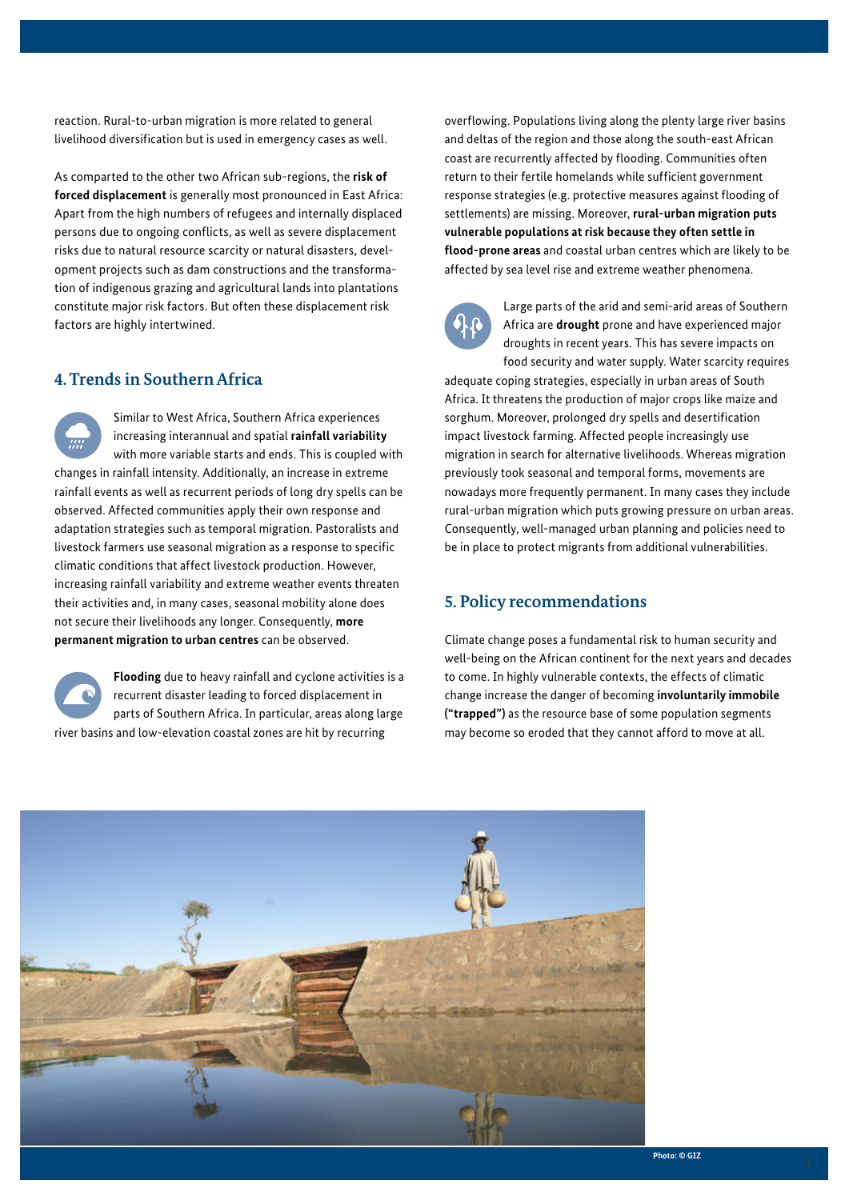reaction. Rural-to-urban migration is more related to general livelihood diversification but is used in emergency cases as well.

As comparted to the other two African sub-regions, the **risk of forced displacement** is generally most pronounced in East Africa: Apart from the high numbers of refugees and internally displaced persons due to ongoing conflicts, as well as severe displacement risks due to natural resource scarcity or natural disasters, development projects such as dam constructions and the transformation of indigenous grazing and agricultural lands into plantations constitute major risk factors. But often these displacement risk factors are highly intertwined.

#### **4. Trends in Southern Africa**

Similar to West Africa, Southern Africa experiences increasing interannual and spatial **rainfall variability** with more variable starts and ends. This is coupled with changes in rainfall intensity. Additionally, an increase in extreme rainfall events as well as recurrent periods of long dry spells can be observed. Affected communities apply their own response and adaptation strategies such as temporal migration. Pastoralists and livestock farmers use seasonal migration as a response to specific climatic conditions that affect livestock production. However, increasing rainfall variability and extreme weather events threaten their activities and, in many cases, seasonal mobility alone does not secure their livelihoods any longer. Consequently, **more permanent migration to urban centres** can be observed.

**Flooding** due to heavy rainfall and cyclone activities is a recurrent disaster leading to forced displacement in parts of Southern Africa. In particular, areas along large river basins and low-elevation coastal zones are hit by recurring

overflowing. Populations living along the plenty large river basins and deltas of the region and those along the south-east African coast are recurrently affected by flooding. Communities often return to their fertile homelands while sufficient government response strategies (e.g. protective measures against flooding of settlements) are missing. Moreover, **rural-urban migration puts vulnerable populations at risk because they often settle in flood-prone areas** and coastal urban centres which are likely to be affected by sea level rise and extreme weather phenomena.



Large parts of the arid and semi-arid areas of Southern Africa are **drought** prone and have experienced major droughts in recent years. This has severe impacts on food security and water supply. Water scarcity requires

adequate coping strategies, especially in urban areas of South Africa. It threatens the production of major crops like maize and sorghum. Moreover, prolonged dry spells and desertification impact livestock farming. Affected people increasingly use migration in search for alternative livelihoods. Whereas migration previously took seasonal and temporal forms, movements are nowadays more frequently permanent. In many cases they include rural-urban migration which puts growing pressure on urban areas. Consequently, well-managed urban planning and policies need to be in place to protect migrants from additional vulnerabilities.

#### **5. Policy recommendations**

Climate change poses a fundamental risk to human security and well-being on the African continent for the next years and decades to come. In highly vulnerable contexts, the effects of climatic change increase the danger of becoming **involuntarily immobile ("trapped")** as the resource base of some population segments may become so eroded that they cannot afford to move at all.